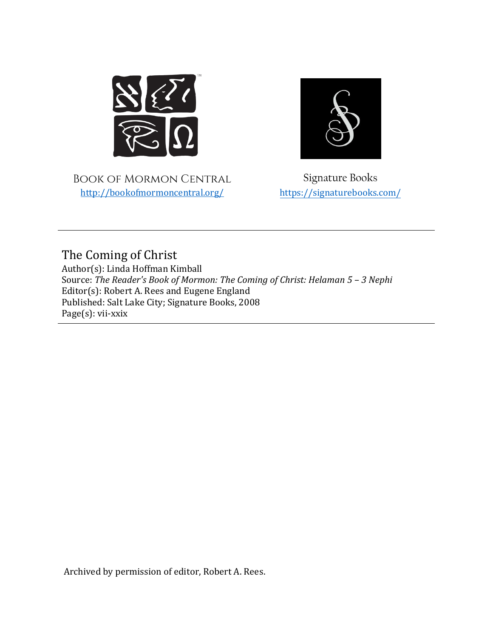

Book of Mormon Central <http://bookofmormoncentral.org/>



Signature Books <https://signaturebooks.com/>

The Coming of Christ

Author(s): Linda Hoffman Kimball Source: *The Reader's Book of Mormon: The Coming of Christ: Helaman 5 – 3 Nephi* Editor(s): Robert A. Rees and Eugene England Published: Salt Lake City; Signature Books, 2008 Page(s): vii-xxix

Archived by permission of editor, Robert A. Rees.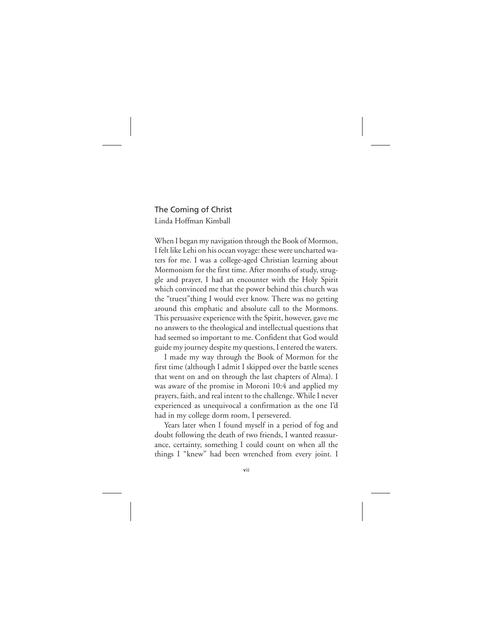## The Coming of Christ Linda Hoffman Kimball

When I began my navigation through the Book of Mormon, I felt like Lehi on his ocean voyage: these were uncharted waters for me. I was a college-aged Christian learning about Mormonism for the first time. After months of study, struggle and prayer, I had an encounter with the Holy Spirit which convinced me that the power behind this church was the "truest"thing I would ever know. There was no getting around this emphatic and absolute call to the Mormons. This persuasive experience with the Spirit, however, gave me no answers to the theological and intellectual questions that had seemed so important to me. Confident that God would guide my journey despite my questions, I entered the waters.

I made my way through the Book of Mormon for the first time (although I admit I skipped over the battle scenes that went on and on through the last chapters of Alma). I was aware of the promise in Moroni 10:4 and applied my prayers, faith, and real intent to the challenge. While I never experienced as unequivocal a confirmation as the one I'd had in my college dorm room, I persevered.

Years later when I found myself in a period of fog and doubt following the death of two friends, I wanted reassurance, certainty, something I could count on when all the things I "knew" had been wrenched from every joint. I

vii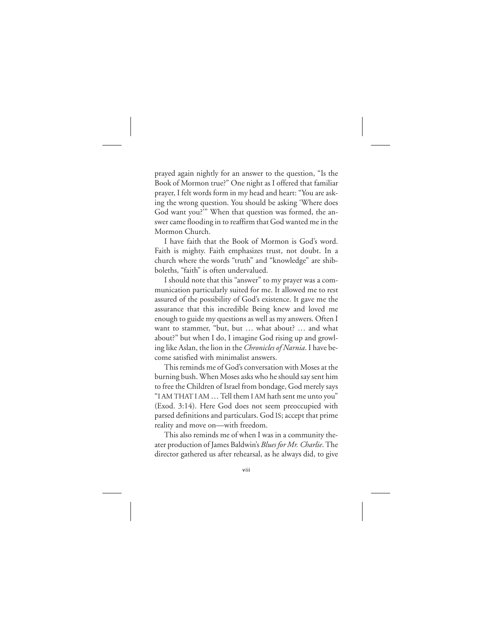prayed again nightly for an answer to the question, "Is the Book of Mormon true?" One night as I offered that familiar prayer, I felt words form in my head and heart: "You are asking the wrong question. You should be asking 'Where does God want you?'" When that question was formed, the answer came flooding in to reaffirm that God wanted me in the Mormon Church.

I have faith that the Book of Mormon is God's word. Faith is mighty. Faith emphasizes trust, not doubt. In a church where the words "truth" and "knowledge" are shibboleths, "faith" is often undervalued.

I should note that this "answer" to my prayer was a communication particularly suited for me. It allowed me to rest assured of the possibility of God's existence. It gave me the assurance that this incredible Being knew and loved me enough to guide my questions as well as my answers. Often I want to stammer, "but, but … what about? … and what about?" but when I do, I imagine God rising up and growling like Aslan, the lion in the *Chronicles of Narnia*. I have become satisfied with minimalist answers.

This reminds me of God's conversation with Moses at the burning bush. When Moses asks who he should say sent him to free the Children of Israel from bondage, God merely says "I AM THAT I AM… Tell them I AM hath sent me unto you" (Exod. 3:14). Here God does not seem preoccupied with parsed definitions and particulars. God IS; accept that prime reality and move on—with freedom.

This also reminds me of when I was in a community theater production of James Baldwin's *Blues for Mr. Charlie*. The director gathered us after rehearsal, as he always did, to give

viii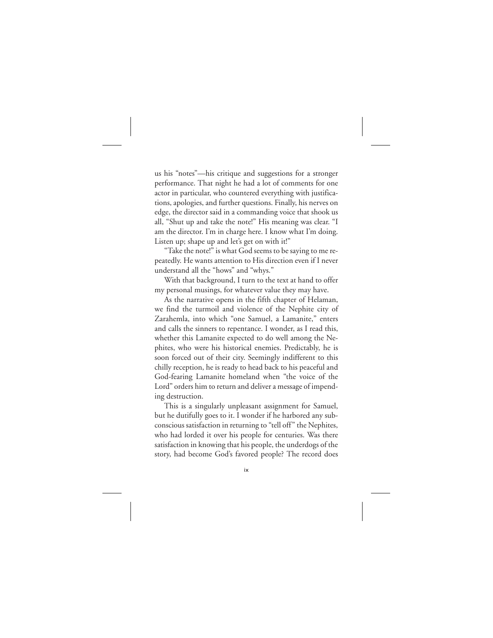us his "notes"—his critique and suggestions for a stronger performance. That night he had a lot of comments for one actor in particular, who countered everything with justifications, apologies, and further questions. Finally, his nerves on edge, the director said in a commanding voice that shook us all, "Shut up and take the note!" His meaning was clear. "I am the director. I'm in charge here. I know what I'm doing. Listen up; shape up and let's get on with it!"

"Take the note!" is what God seems to be saying to me repeatedly. He wants attention to His direction even if I never understand all the "hows" and "whys."

With that background, I turn to the text at hand to offer my personal musings, for whatever value they may have.

As the narrative opens in the fifth chapter of Helaman, we find the turmoil and violence of the Nephite city of Zarahemla, into which "one Samuel, a Lamanite," enters and calls the sinners to repentance. I wonder, as I read this, whether this Lamanite expected to do well among the Nephites, who were his historical enemies. Predictably, he is soon forced out of their city. Seemingly indifferent to this chilly reception, he is ready to head back to his peaceful and God-fearing Lamanite homeland when "the voice of the Lord" orders him to return and deliver a message of impending destruction.

This is a singularly unpleasant assignment for Samuel, but he dutifully goes to it. I wonder if he harbored any subconscious satisfaction in returning to "tell off" the Nephites, who had lorded it over his people for centuries. Was there satisfaction in knowing that his people, the underdogs of the story, had become God's favored people? The record does

ix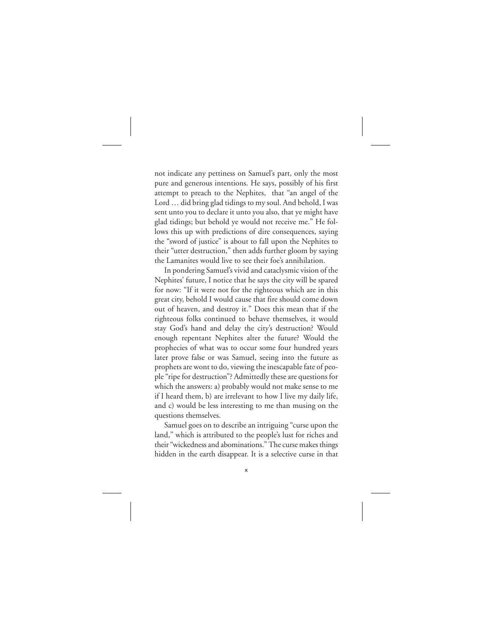not indicate any pettiness on Samuel's part, only the most pure and generous intentions. He says, possibly of his first attempt to preach to the Nephites, that "an angel of the Lord … did bring glad tidings to my soul. And behold, I was sent unto you to declare it unto you also, that ye might have glad tidings; but behold ye would not receive me." He follows this up with predictions of dire consequences, saying the "sword of justice" is about to fall upon the Nephites to their "utter destruction," then adds further gloom by saying the Lamanites would live to see their foe's annihilation.

In pondering Samuel's vivid and cataclysmic vision of the Nephites' future, I notice that he says the city will be spared for now: "If it were not for the righteous which are in this great city, behold I would cause that fire should come down out of heaven, and destroy it." Does this mean that if the righteous folks continued to behave themselves, it would stay God's hand and delay the city's destruction? Would enough repentant Nephites alter the future? Would the prophecies of what was to occur some four hundred years later prove false or was Samuel, seeing into the future as prophets are wont to do, viewing the inescapable fate of people "ripe for destruction"? Admittedly these are questions for which the answers: a) probably would not make sense to me if I heard them, b) are irrelevant to how I live my daily life, and c) would be less interesting to me than musing on the questions themselves.

Samuel goes on to describe an intriguing "curse upon the land," which is attributed to the people's lust for riches and their "wickedness and abominations." The curse makes things hidden in the earth disappear. It is a selective curse in that

x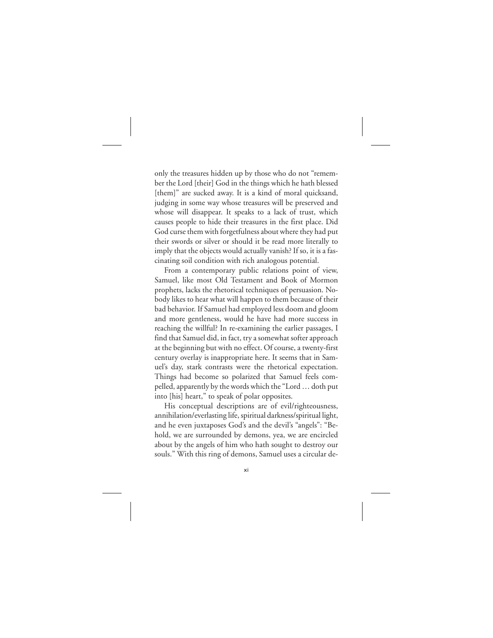only the treasures hidden up by those who do not "remember the Lord [their] God in the things which he hath blessed [them]" are sucked away. It is a kind of moral quicksand, judging in some way whose treasures will be preserved and whose will disappear. It speaks to a lack of trust, which causes people to hide their treasures in the first place. Did God curse them with forgetfulness about where they had put their swords or silver or should it be read more literally to imply that the objects would actually vanish? If so, it is a fascinating soil condition with rich analogous potential.

From a contemporary public relations point of view, Samuel, like most Old Testament and Book of Mormon prophets, lacks the rhetorical techniques of persuasion. Nobody likes to hear what will happen to them because of their bad behavior. If Samuel had employed less doom and gloom and more gentleness, would he have had more success in reaching the willful? In re-examining the earlier passages, I find that Samuel did, in fact, try a somewhat softer approach at the beginning but with no effect. Of course, a twenty-first century overlay is inappropriate here. It seems that in Samuel's day, stark contrasts were the rhetorical expectation. Things had become so polarized that Samuel feels compelled, apparently by the words which the "Lord … doth put into [his] heart," to speak of polar opposites.

His conceptual descriptions are of evil/righteousness, annihilation/everlasting life, spiritual darkness/spiritual light, and he even juxtaposes God's and the devil's "angels": "Behold, we are surrounded by demons, yea, we are encircled about by the angels of him who hath sought to destroy our souls." With this ring of demons, Samuel uses a circular de-

xi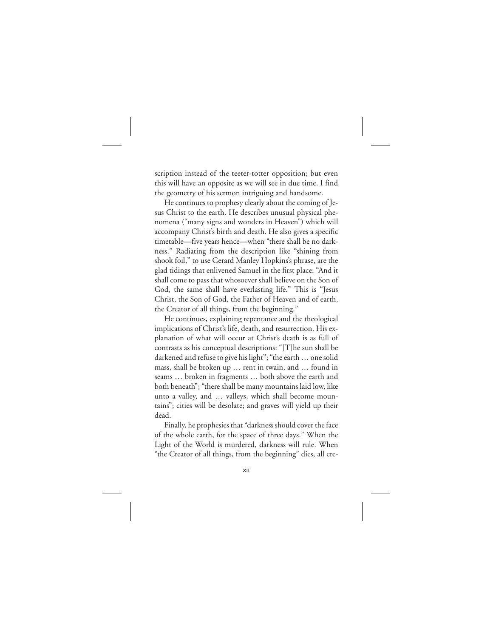scription instead of the teeter-totter opposition; but even this will have an opposite as we will see in due time. I find the geometry of his sermon intriguing and handsome.

He continues to prophesy clearly about the coming of Jesus Christ to the earth. He describes unusual physical phenomena ("many signs and wonders in Heaven") which will accompany Christ's birth and death. He also gives a specific timetable—five years hence—when "there shall be no darkness." Radiating from the description like "shining from shook foil," to use Gerard Manley Hopkins's phrase, are the glad tidings that enlivened Samuel in the first place: "And it shall come to pass that whosoever shall believe on the Son of God, the same shall have everlasting life." This is "Jesus Christ, the Son of God, the Father of Heaven and of earth, the Creator of all things, from the beginning."

He continues, explaining repentance and the theological implications of Christ's life, death, and resurrection. His explanation of what will occur at Christ's death is as full of contrasts as his conceptual descriptions: "[T]he sun shall be darkened and refuse to give his light"; "the earth … one solid mass, shall be broken up … rent in twain, and … found in seams … broken in fragments … both above the earth and both beneath"; "there shall be many mountains laid low, like unto a valley, and … valleys, which shall become mountains"; cities will be desolate; and graves will yield up their dead.

Finally, he prophesies that "darkness should cover the face of the whole earth, for the space of three days." When the Light of the World is murdered, darkness will rule. When "the Creator of all things, from the beginning" dies, all cre-

xii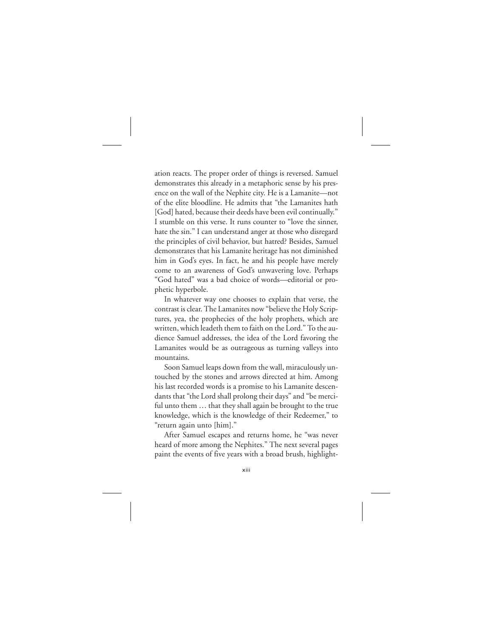ation reacts. The proper order of things is reversed. Samuel demonstrates this already in a metaphoric sense by his presence on the wall of the Nephite city. He is a Lamanite—not of the elite bloodline. He admits that "the Lamanites hath [God] hated, because their deeds have been evil continually." I stumble on this verse. It runs counter to "love the sinner, hate the sin." I can understand anger at those who disregard the principles of civil behavior, but hatred? Besides, Samuel demonstrates that his Lamanite heritage has not diminished him in God's eyes. In fact, he and his people have merely come to an awareness of God's unwavering love. Perhaps "God hated" was a bad choice of words—editorial or prophetic hyperbole.

In whatever way one chooses to explain that verse, the contrast is clear. The Lamanites now "believe the Holy Scriptures, yea, the prophecies of the holy prophets, which are written, which leadeth them to faith on the Lord." To the audience Samuel addresses, the idea of the Lord favoring the Lamanites would be as outrageous as turning valleys into mountains.

Soon Samuel leaps down from the wall, miraculously untouched by the stones and arrows directed at him. Among his last recorded words is a promise to his Lamanite descendants that "the Lord shall prolong their days" and "be merciful unto them … that they shall again be brought to the true knowledge, which is the knowledge of their Redeemer," to "return again unto [him]."

After Samuel escapes and returns home, he "was never heard of more among the Nephites." The next several pages paint the events of five years with a broad brush, highlight-

xiii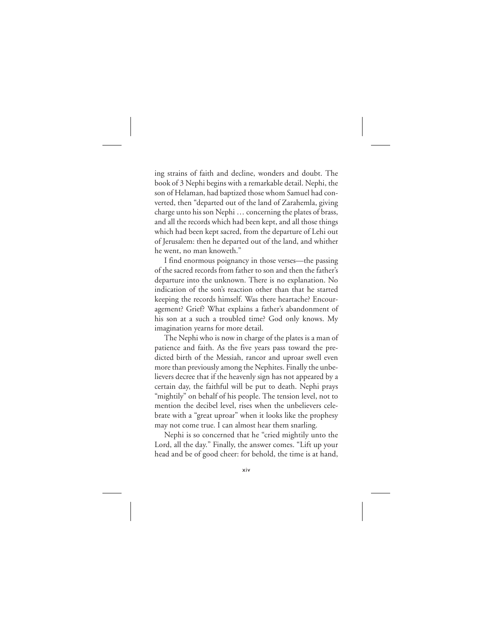ing strains of faith and decline, wonders and doubt. The book of 3 Nephi begins with a remarkable detail. Nephi, the son of Helaman, had baptized those whom Samuel had converted, then "departed out of the land of Zarahemla, giving charge unto his son Nephi … concerning the plates of brass, and all the records which had been kept, and all those things which had been kept sacred, from the departure of Lehi out of Jerusalem: then he departed out of the land, and whither he went, no man knoweth."

I find enormous poignancy in those verses—the passing of the sacred records from father to son and then the father's departure into the unknown. There is no explanation. No indication of the son's reaction other than that he started keeping the records himself. Was there heartache? Encouragement? Grief? What explains a father's abandonment of his son at a such a troubled time? God only knows. My imagination yearns for more detail.

The Nephi who is now in charge of the plates is a man of patience and faith. As the five years pass toward the predicted birth of the Messiah, rancor and uproar swell even more than previously among the Nephites. Finally the unbelievers decree that if the heavenly sign has not appeared by a certain day, the faithful will be put to death. Nephi prays "mightily" on behalf of his people. The tension level, not to mention the decibel level, rises when the unbelievers celebrate with a "great uproar" when it looks like the prophesy may not come true. I can almost hear them snarling.

Nephi is so concerned that he "cried mightily unto the Lord, all the day." Finally, the answer comes. "Lift up your head and be of good cheer: for behold, the time is at hand,

xiv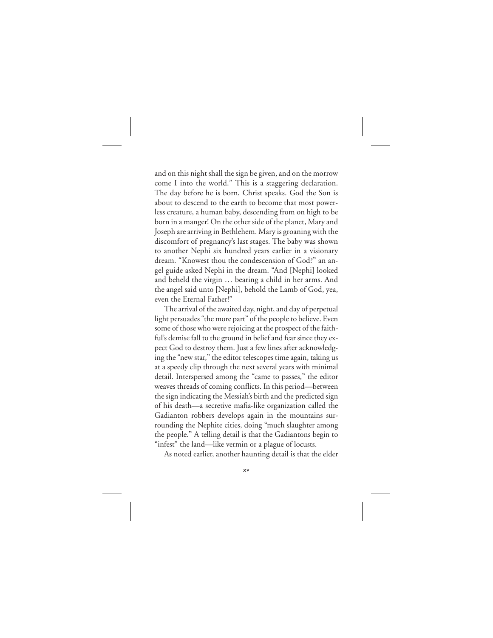and on this night shall the sign be given, and on the morrow come I into the world." This is a staggering declaration. The day before he is born, Christ speaks. God the Son is about to descend to the earth to become that most powerless creature, a human baby, descending from on high to be born in a manger! On the other side of the planet, Mary and Joseph are arriving in Bethlehem. Mary is groaning with the discomfort of pregnancy's last stages. The baby was shown to another Nephi six hundred years earlier in a visionary dream. "Knowest thou the condescension of God?" an angel guide asked Nephi in the dream. "And [Nephi] looked and beheld the virgin … bearing a child in her arms. And the angel said unto [Nephi], behold the Lamb of God, yea, even the Eternal Father!"

The arrival of the awaited day, night, and day of perpetual light persuades "the more part" of the people to believe. Even some of those who were rejoicing at the prospect of the faithful's demise fall to the ground in belief and fear since they expect God to destroy them. Just a few lines after acknowledging the "new star," the editor telescopes time again, taking us at a speedy clip through the next several years with minimal detail. Interspersed among the "came to passes," the editor weaves threads of coming conflicts. In this period—between the sign indicating the Messiah's birth and the predicted sign of his death—a secretive mafia-like organization called the Gadianton robbers develops again in the mountains surrounding the Nephite cities, doing "much slaughter among the people." A telling detail is that the Gadiantons begin to "infest" the land—like vermin or a plague of locusts.

As noted earlier, another haunting detail is that the elder

xv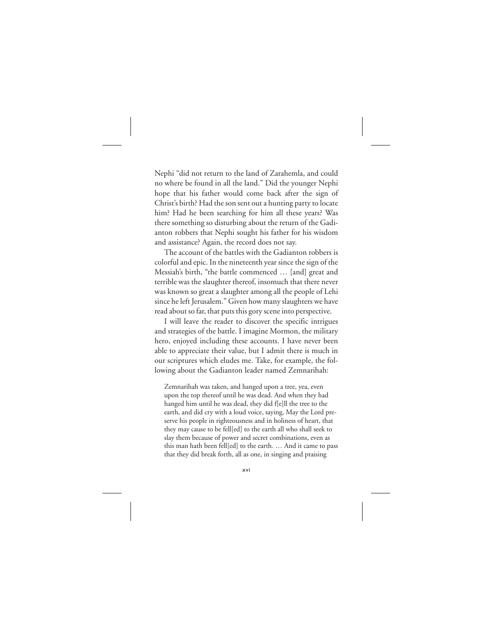Nephi "did not return to the land of Zarahemla, and could no where be found in all the land." Did the younger Nephi hope that his father would come back after the sign of Christ's birth? Had the son sent out a hunting party to locate him? Had he been searching for him all these years? Was there something so disturbing about the return of the Gadianton robbers that Nephi sought his father for his wisdom and assistance? Again, the record does not say.

The account of the battles with the Gadianton robbers is colorful and epic. In the nineteenth year since the sign of the Messiah's birth, "the battle commenced … [and] great and terrible was the slaughter thereof, insomuch that there never was known so great a slaughter among all the people of Lehi since he left Jerusalem." Given how many slaughters we have read about so far, that puts this gory scene into perspective.

I will leave the reader to discover the specific intrigues and strategies of the battle. I imagine Mormon, the military hero, enjoyed including these accounts. I have never been able to appreciate their value, but I admit there is much in our scriptures which eludes me. Take, for example, the following about the Gadianton leader named Zemnarihah:

Zemnarihah was taken, and hanged upon a tree, yea, even upon the top thereof until he was dead. And when they had hanged him until he was dead, they did f[e]ll the tree to the earth, and did cry with a loud voice, saying, May the Lord preserve his people in righteousness and in holiness of heart, that they may cause to be fell[ed] to the earth all who shall seek to slay them because of power and secret combinations, even as this man hath been fell[ed] to the earth. … And it came to pass that they did break forth, all as one, in singing and praising

xvi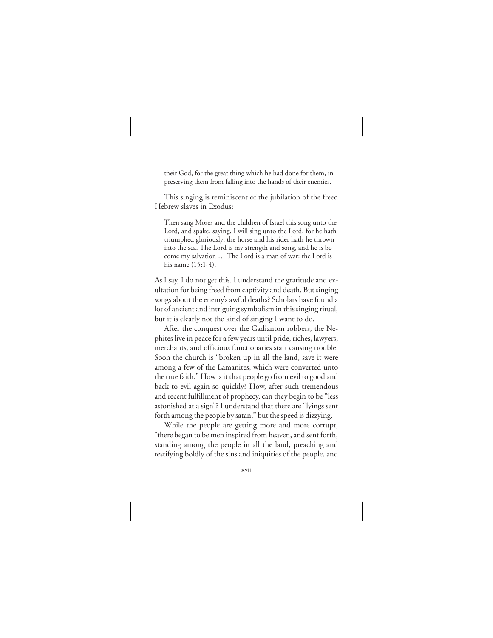their God, for the great thing which he had done for them, in preserving them from falling into the hands of their enemies.

This singing is reminiscent of the jubilation of the freed Hebrew slaves in Exodus:

Then sang Moses and the children of Israel this song unto the Lord, and spake, saying, I will sing unto the Lord, for he hath triumphed gloriously; the horse and his rider hath he thrown into the sea. The Lord is my strength and song, and he is become my salvation … The Lord is a man of war: the Lord is his name (15:1-4).

As I say, I do not get this. I understand the gratitude and exultation for being freed from captivity and death. But singing songs about the enemy's awful deaths? Scholars have found a lot of ancient and intriguing symbolism in this singing ritual, but it is clearly not the kind of singing I want to do.

After the conquest over the Gadianton robbers, the Nephites live in peace for a few years until pride, riches, lawyers, merchants, and officious functionaries start causing trouble. Soon the church is "broken up in all the land, save it were among a few of the Lamanites, which were converted unto the true faith." How is it that people go from evil to good and back to evil again so quickly? How, after such tremendous and recent fulfillment of prophecy, can they begin to be "less astonished at a sign"? I understand that there are "lyings sent forth among the people by satan," but the speed is dizzying.

While the people are getting more and more corrupt, "there began to be men inspired from heaven, and sent forth, standing among the people in all the land, preaching and testifying boldly of the sins and iniquities of the people, and

## xvii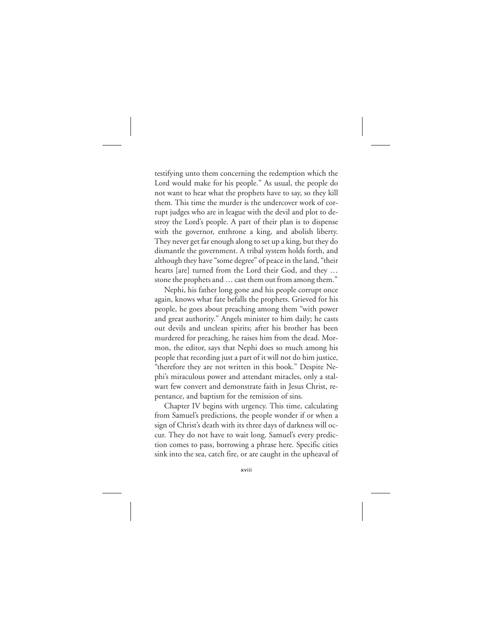testifying unto them concerning the redemption which the Lord would make for his people." As usual, the people do not want to hear what the prophets have to say, so they kill them. This time the murder is the undercover work of corrupt judges who are in league with the devil and plot to destroy the Lord's people. A part of their plan is to dispense with the governor, enthrone a king, and abolish liberty. They never get far enough along to set up a king, but they do dismantle the government. A tribal system holds forth, and although they have "some degree" of peace in the land, "their hearts [are] turned from the Lord their God, and they … stone the prophets and … cast them out from among them."

Nephi, his father long gone and his people corrupt once again, knows what fate befalls the prophets. Grieved for his people, he goes about preaching among them "with power and great authority." Angels minister to him daily; he casts out devils and unclean spirits; after his brother has been murdered for preaching, he raises him from the dead. Mormon, the editor, says that Nephi does so much among his people that recording just a part of it will not do him justice, "therefore they are not written in this book." Despite Nephi's miraculous power and attendant miracles, only a stalwart few convert and demonstrate faith in Jesus Christ, repentance, and baptism for the remission of sins.

Chapter IV begins with urgency. This time, calculating from Samuel's predictions, the people wonder if or when a sign of Christ's death with its three days of darkness will occur. They do not have to wait long. Samuel's every prediction comes to pass, borrowing a phrase here. Specific cities sink into the sea, catch fire, or are caught in the upheaval of

xviii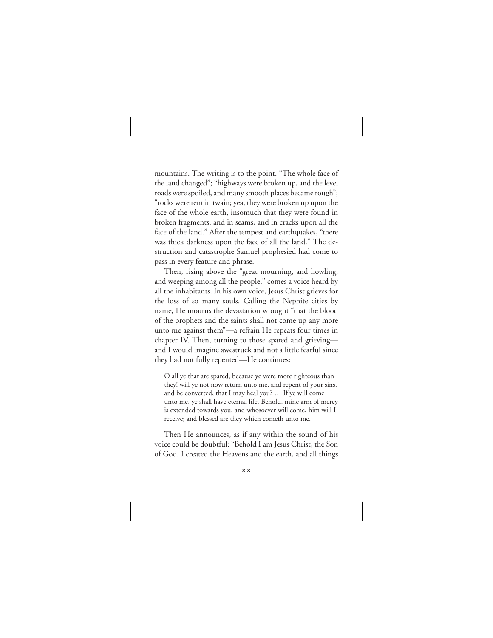mountains. The writing is to the point. "The whole face of the land changed"; "highways were broken up, and the level roads were spoiled, and many smooth places became rough"; "rocks were rent in twain; yea, they were broken up upon the face of the whole earth, insomuch that they were found in broken fragments, and in seams, and in cracks upon all the face of the land." After the tempest and earthquakes, "there was thick darkness upon the face of all the land." The destruction and catastrophe Samuel prophesied had come to pass in every feature and phrase.

Then, rising above the "great mourning, and howling, and weeping among all the people," comes a voice heard by all the inhabitants. In his own voice, Jesus Christ grieves for the loss of so many souls. Calling the Nephite cities by name, He mourns the devastation wrought "that the blood of the prophets and the saints shall not come up any more unto me against them"—a refrain He repeats four times in chapter IV. Then, turning to those spared and grieving and I would imagine awestruck and not a little fearful since they had not fully repented—He continues:

O all ye that are spared, because ye were more righteous than they! will ye not now return unto me, and repent of your sins, and be converted, that I may heal you? … If ye will come unto me, ye shall have eternal life. Behold, mine arm of mercy is extended towards you, and whosoever will come, him will I receive; and blessed are they which cometh unto me.

Then He announces, as if any within the sound of his voice could be doubtful: "Behold I am Jesus Christ, the Son of God. I created the Heavens and the earth, and all things

## xix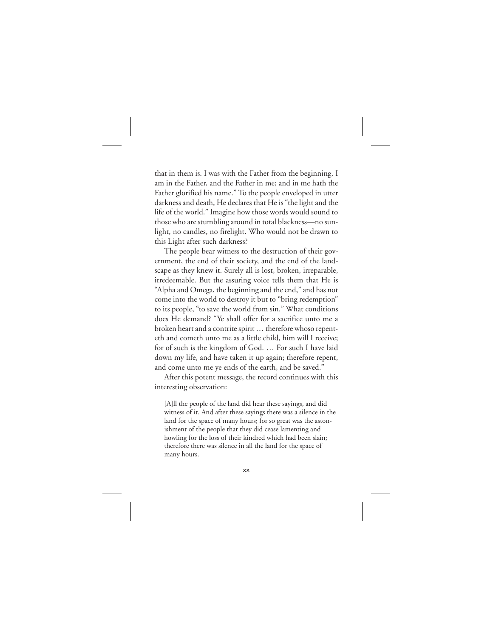that in them is. I was with the Father from the beginning. I am in the Father, and the Father in me; and in me hath the Father glorified his name." To the people enveloped in utter darkness and death, He declares that He is "the light and the life of the world." Imagine how those words would sound to those who are stumbling around in total blackness—no sunlight, no candles, no firelight. Who would not be drawn to this Light after such darkness?

The people bear witness to the destruction of their government, the end of their society, and the end of the landscape as they knew it. Surely all is lost, broken, irreparable, irredeemable. But the assuring voice tells them that He is "Alpha and Omega, the beginning and the end," and has not come into the world to destroy it but to "bring redemption" to its people, "to save the world from sin." What conditions does He demand? "Ye shall offer for a sacrifice unto me a broken heart and a contrite spirit … therefore whoso repenteth and cometh unto me as a little child, him will I receive; for of such is the kingdom of God. … For such I have laid down my life, and have taken it up again; therefore repent, and come unto me ye ends of the earth, and be saved."

After this potent message, the record continues with this interesting observation:

[A]ll the people of the land did hear these sayings, and did witness of it. And after these sayings there was a silence in the land for the space of many hours; for so great was the astonishment of the people that they did cease lamenting and howling for the loss of their kindred which had been slain; therefore there was silence in all the land for the space of many hours.

xx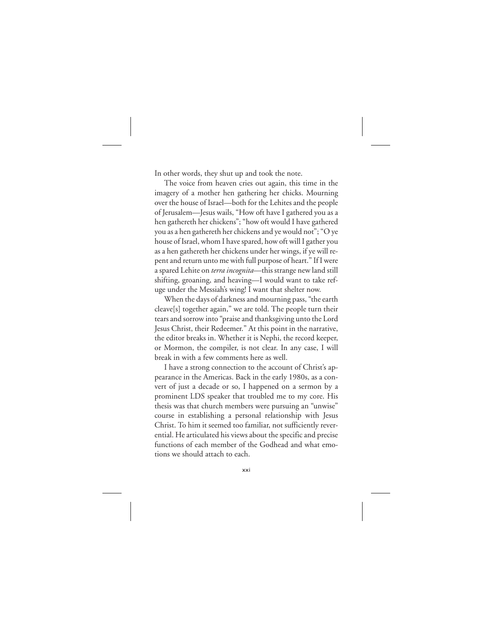In other words, they shut up and took the note.

The voice from heaven cries out again, this time in the imagery of a mother hen gathering her chicks. Mourning over the house of Israel—both for the Lehites and the people of Jerusalem—Jesus wails, "How oft have I gathered you as a hen gathereth her chickens"; "how oft would I have gathered you as a hen gathereth her chickens and ye would not"; "O ye house of Israel, whom I have spared, how oft will I gather you as a hen gathereth her chickens under her wings, if ye will repent and return unto me with full purpose of heart." If I were a spared Lehite on *terra incognita*—this strange new land still shifting, groaning, and heaving—I would want to take refuge under the Messiah's wing! I want that shelter now.

When the days of darkness and mourning pass, "the earth cleave[s] together again," we are told. The people turn their tears and sorrow into "praise and thanksgiving unto the Lord Jesus Christ, their Redeemer." At this point in the narrative, the editor breaks in. Whether it is Nephi, the record keeper, or Mormon, the compiler, is not clear. In any case, I will break in with a few comments here as well.

I have a strong connection to the account of Christ's appearance in the Americas. Back in the early 1980s, as a convert of just a decade or so, I happened on a sermon by a prominent LDS speaker that troubled me to my core. His thesis was that church members were pursuing an "unwise" course in establishing a personal relationship with Jesus Christ. To him it seemed too familiar, not sufficiently reverential. He articulated his views about the specific and precise functions of each member of the Godhead and what emotions we should attach to each.

xxi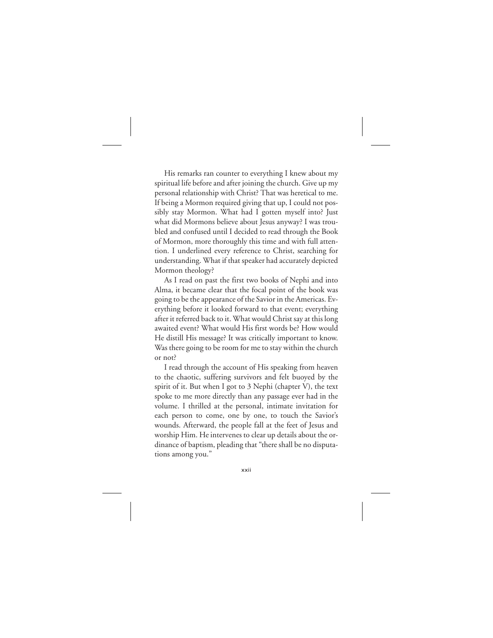His remarks ran counter to everything I knew about my spiritual life before and after joining the church. Give up my personal relationship with Christ? That was heretical to me. If being a Mormon required giving that up, I could not possibly stay Mormon. What had I gotten myself into? Just what did Mormons believe about Jesus anyway? I was troubled and confused until I decided to read through the Book of Mormon, more thoroughly this time and with full attention. I underlined every reference to Christ, searching for understanding. What if that speaker had accurately depicted Mormon theology?

As I read on past the first two books of Nephi and into Alma, it became clear that the focal point of the book was going to be the appearance of the Savior in the Americas. Everything before it looked forward to that event; everything after it referred back to it. What would Christ say at this long awaited event? What would His first words be? How would He distill His message? It was critically important to know. Was there going to be room for me to stay within the church or not?

I read through the account of His speaking from heaven to the chaotic, suffering survivors and felt buoyed by the spirit of it. But when I got to 3 Nephi (chapter V), the text spoke to me more directly than any passage ever had in the volume. I thrilled at the personal, intimate invitation for each person to come, one by one, to touch the Savior's wounds. Afterward, the people fall at the feet of Jesus and worship Him. He intervenes to clear up details about the ordinance of baptism, pleading that "there shall be no disputations among you."

xxii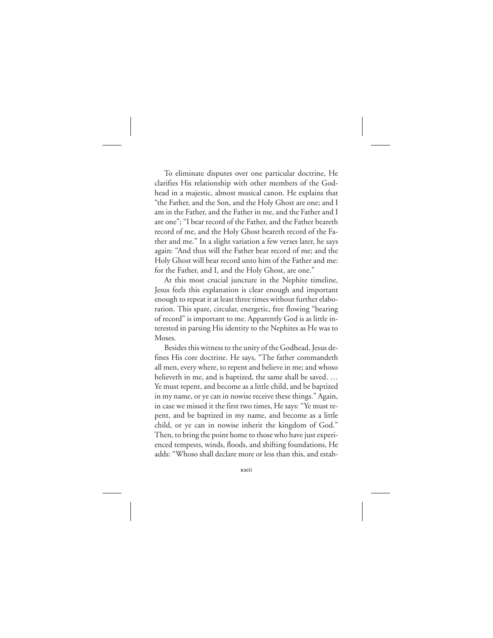To eliminate disputes over one particular doctrine, He clarifies His relationship with other members of the Godhead in a majestic, almost musical canon. He explains that "the Father, and the Son, and the Holy Ghost are one; and I am in the Father, and the Father in me, and the Father and I are one"; "I bear record of the Father, and the Father beareth record of me, and the Holy Ghost beareth record of the Father and me." In a slight variation a few verses later, he says again: "And thus will the Father bear record of me; and the Holy Ghost will bear record unto him of the Father and me: for the Father, and I, and the Holy Ghost, are one."

At this most crucial juncture in the Nephite timeline, Jesus feels this explanation is clear enough and important enough to repeat it at least three times without further elaboration. This spare, circular, energetic, free flowing "bearing of record" is important to me. Apparently God is as little interested in parsing His identity to the Nephites as He was to Moses.

Besides this witness to the unity of the Godhead, Jesus defines His core doctrine. He says, "The father commandeth all men, every where, to repent and believe in me; and whoso believeth in me, and is baptized, the same shall be saved. … Ye must repent, and become as a little child, and be baptized in my name, or ye can in nowise receive these things." Again, in case we missed it the first two times, He says: "Ye must repent, and be baptized in my name, and become as a little child, or ye can in nowise inherit the kingdom of God." Then, to bring the point home to those who have just experienced tempests, winds, floods, and shifting foundations, He adds: "Whoso shall declare more or less than this, and estab-

xxiii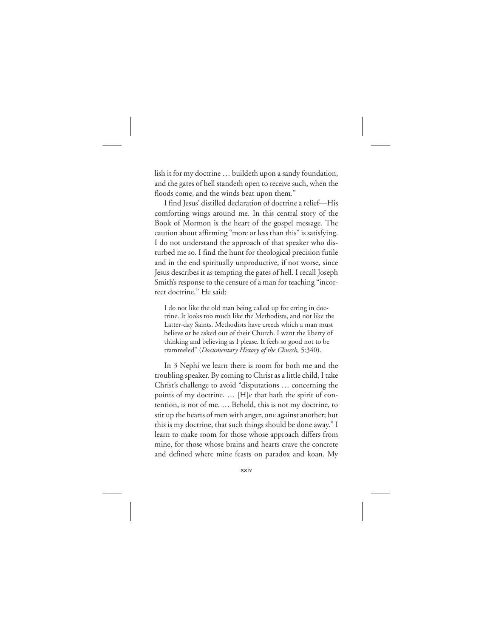lish it for my doctrine … buildeth upon a sandy foundation, and the gates of hell standeth open to receive such, when the floods come, and the winds beat upon them."

I find Jesus' distilled declaration of doctrine a relief—His comforting wings around me. In this central story of the Book of Mormon is the heart of the gospel message. The caution about affirming "more or less than this" is satisfying. I do not understand the approach of that speaker who disturbed me so. I find the hunt for theological precision futile and in the end spiritually unproductive, if not worse, since Jesus describes it as tempting the gates of hell. I recall Joseph Smith's response to the censure of a man for teaching "incorrect doctrine." He said:

I do not like the old man being called up for erring in doctrine. It looks too much like the Methodists, and not like the Latter-day Saints. Methodists have creeds which a man must believe or be asked out of their Church. I want the liberty of thinking and believing as I please. It feels so good not to be trammeled" (*Documentary History of the Church,* 5:340).

In 3 Nephi we learn there is room for both me and the troubling speaker. By coming to Christ as a little child, I take Christ's challenge to avoid "disputations … concerning the points of my doctrine. … [H]e that hath the spirit of contention, is not of me. … Behold, this is not my doctrine, to stir up the hearts of men with anger, one against another; but this is my doctrine, that such things should be done away." I learn to make room for those whose approach differs from mine, for those whose brains and hearts crave the concrete and defined where mine feasts on paradox and koan. My

xxiv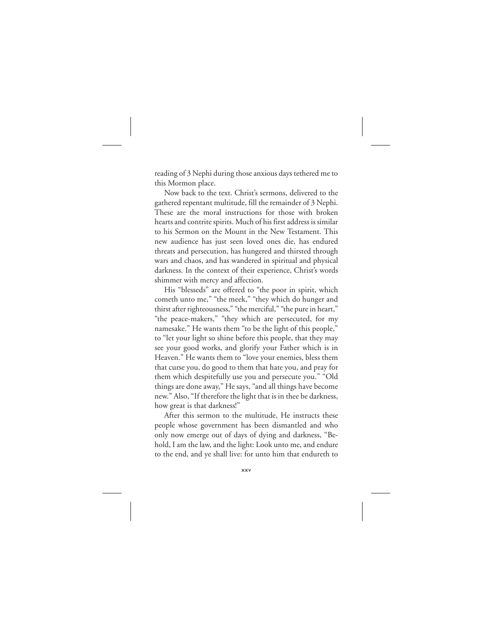reading of 3 Nephi during those anxious days tethered me to this Mormon place.

Now back to the text. Christ's sermons, delivered to the gathered repentant multitude, fill the remainder of 3 Nephi. These are the moral instructions for those with broken hearts and contrite spirits. Much of his first address is similar to his Sermon on the Mount in the New Testament. This new audience has just seen loved ones die, has endured threats and persecution, has hungered and thirsted through wars and chaos, and has wandered in spiritual and physical darkness. In the context of their experience, Christ's words shimmer with mercy and affection.

His "blesseds" are offered to "the poor in spirit, which cometh unto me," "the meek," "they which do hunger and thirst after righteousness," "the merciful," "the pure in heart," "the peace-makers," "they which are persecuted, for my namesake." He wants them "to be the light of this people," to "let your light so shine before this people, that they may see your good works, and glorify your Father which is in Heaven." He wants them to "love your enemies, bless them that curse you, do good to them that hate you, and pray for them which despitefully use you and persecute you." "Old things are done away," He says, "and all things have become new." Also, "If therefore the light that is in thee be darkness, how great is that darkness!"

After this sermon to the multitude, He instructs these people whose government has been dismantled and who only now emerge out of days of dying and darkness, "Behold, I am the law, and the light: Look unto me, and endure to the end, and ye shall live: for unto him that endureth to

xxv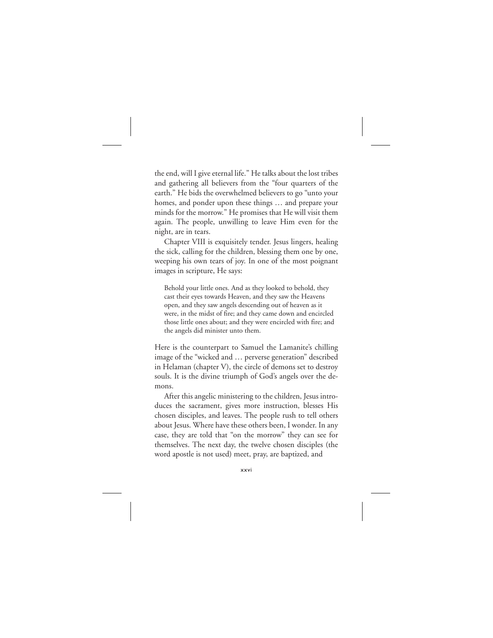the end, will I give eternal life." He talks about the lost tribes and gathering all believers from the "four quarters of the earth." He bids the overwhelmed believers to go "unto your homes, and ponder upon these things … and prepare your minds for the morrow." He promises that He will visit them again. The people, unwilling to leave Him even for the night, are in tears.

Chapter VIII is exquisitely tender. Jesus lingers, healing the sick, calling for the children, blessing them one by one, weeping his own tears of joy. In one of the most poignant images in scripture, He says:

Behold your little ones. And as they looked to behold, they cast their eyes towards Heaven, and they saw the Heavens open, and they saw angels descending out of heaven as it were, in the midst of fire; and they came down and encircled those little ones about; and they were encircled with fire; and the angels did minister unto them.

Here is the counterpart to Samuel the Lamanite's chilling image of the "wicked and … perverse generation" described in Helaman (chapter V), the circle of demons set to destroy souls. It is the divine triumph of God's angels over the demons.

After this angelic ministering to the children, Jesus introduces the sacrament, gives more instruction, blesses His chosen disciples, and leaves. The people rush to tell others about Jesus. Where have these others been, I wonder. In any case, they are told that "on the morrow" they can see for themselves. The next day, the twelve chosen disciples (the word apostle is not used) meet, pray, are baptized, and

xxvi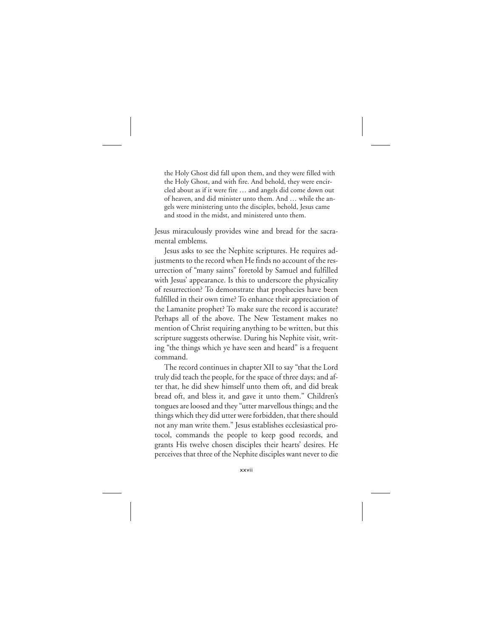the Holy Ghost did fall upon them, and they were filled with the Holy Ghost, and with fire. And behold, they were encircled about as if it were fire … and angels did come down out of heaven, and did minister unto them. And … while the angels were ministering unto the disciples, behold, Jesus came and stood in the midst, and ministered unto them.

Jesus miraculously provides wine and bread for the sacramental emblems.

Jesus asks to see the Nephite scriptures. He requires adjustments to the record when He finds no account of the resurrection of "many saints" foretold by Samuel and fulfilled with Jesus' appearance. Is this to underscore the physicality of resurrection? To demonstrate that prophecies have been fulfilled in their own time? To enhance their appreciation of the Lamanite prophet? To make sure the record is accurate? Perhaps all of the above. The New Testament makes no mention of Christ requiring anything to be written, but this scripture suggests otherwise. During his Nephite visit, writing "the things which ye have seen and heard" is a frequent command.

The record continues in chapter XII to say "that the Lord truly did teach the people, for the space of three days; and after that, he did shew himself unto them oft, and did break bread oft, and bless it, and gave it unto them." Children's tongues are loosed and they "utter marvellous things; and the things which they did utter were forbidden, that there should not any man write them." Jesus establishes ecclesiastical protocol, commands the people to keep good records, and grants His twelve chosen disciples their hearts' desires. He perceives that three of the Nephite disciples want never to die

xxvii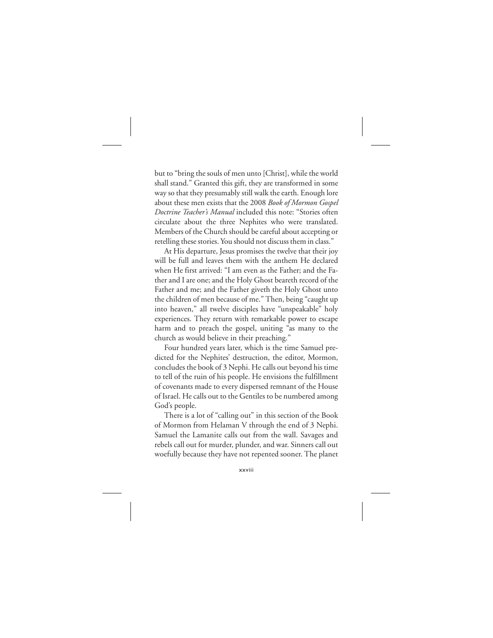but to "bring the souls of men unto [Christ], while the world shall stand." Granted this gift, they are transformed in some way so that they presumably still walk the earth. Enough lore about these men exists that the 2008 *Book of Mormon Gospel Doctrine Teacher's Manual* included this note: "Stories often circulate about the three Nephites who were translated. Members of the Church should be careful about accepting or retelling these stories. You should not discuss them in class."

At His departure, Jesus promises the twelve that their joy will be full and leaves them with the anthem He declared when He first arrived: "I am even as the Father; and the Father and I are one; and the Holy Ghost beareth record of the Father and me; and the Father giveth the Holy Ghost unto the children of men because of me." Then, being "caught up into heaven," all twelve disciples have "unspeakable" holy experiences. They return with remarkable power to escape harm and to preach the gospel, uniting "as many to the church as would believe in their preaching."

Four hundred years later, which is the time Samuel predicted for the Nephites' destruction, the editor, Mormon, concludes the book of 3 Nephi. He calls out beyond his time to tell of the ruin of his people. He envisions the fulfillment of covenants made to every dispersed remnant of the House of Israel. He calls out to the Gentiles to be numbered among God's people.

There is a lot of "calling out" in this section of the Book of Mormon from Helaman V through the end of 3 Nephi. Samuel the Lamanite calls out from the wall. Savages and rebels call out for murder, plunder, and war. Sinners call out woefully because they have not repented sooner. The planet

xxviii